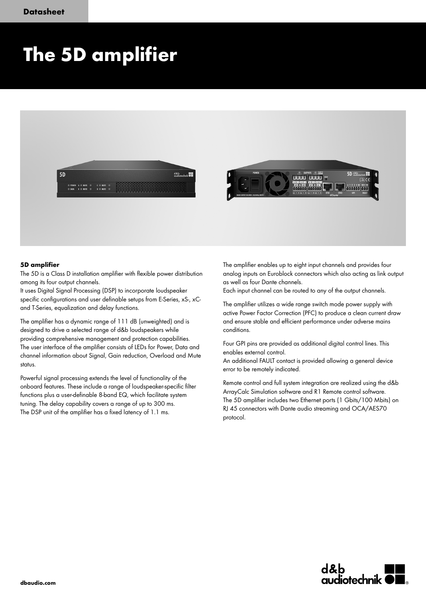



#### **5D amplifier**

The 5D is a Class D installation amplifier with flexible power distribution among its four output channels.

It uses Digital Signal Processing (DSP) to incorporate loudspeaker specific configurations and user definable setups from E-Series, xS-, xCand T-Series, equalization and delay functions.

The amplifier has a dynamic range of 111 dB (unweighted) and is designed to drive a selected range of d&b loudspeakers while providing comprehensive management and protection capabilities. The user interface of the amplifier consists of LEDs for Power, Data and channel information about Signal, Gain reduction, Overload and Mute status.

Powerful signal processing extends the level of functionality of the onboard features. These include a range of loudspeaker-specific filter functions plus a user-definable 8-band EQ, which facilitate system tuning. The delay capability covers a range of up to 300 ms. The DSP unit of the amplifier has a fixed latency of 1.1 ms.

The amplifier enables up to eight input channels and provides four analog inputs on Euroblock connectors which also acting as link output as well as four Dante channels.

Each input channel can be routed to any of the output channels.

The amplifier utilizes a wide range switch mode power supply with active Power Factor Correction (PFC) to produce a clean current draw and ensure stable and efficient performance under adverse mains conditions.

Four GPI pins are provided as additional digital control lines. This enables external control.

An additional FAULT contact is provided allowing a general device error to be remotely indicated.

Remote control and full system integration are realized using the d&b ArrayCalc Simulation software and R1 Remote control software. The 5D amplifier includes two Ethernet ports (1 Gbits/100 Mbits) on RJ 45 connectors with Dante audio streaming and OCA/AES70 protocol.

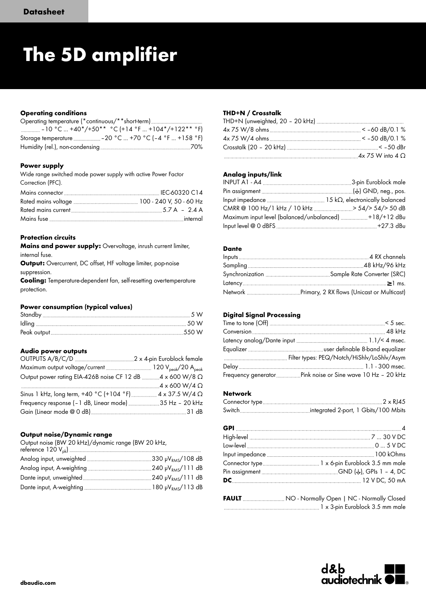## **Operating conditions**

| -10 °C  +40*/+50** °C (+14 °F  +104*/+122** °F)       |  |
|-------------------------------------------------------|--|
| Storage temperature  - 20 °C  +70 °C (-4 °F  +158 °F) |  |
|                                                       |  |

#### **Power supply**

| Wide range switched mode power supply with active Power Factor |  |
|----------------------------------------------------------------|--|
| Correction (PFC).                                              |  |
|                                                                |  |
|                                                                |  |
|                                                                |  |
|                                                                |  |

## **Protection circuits**

**Mains and power supply:** Overvoltage, inrush current limiter, internal fuse.

**Output:** Overcurrent, DC offset, HF voltage limiter, pop-noise suppression.

**Cooling:** Temperature-dependent fan, self-resetting overtemperature protection.

#### **Power consumption (typical values)**

#### **Audio power outputs**

| Output power rating EIA-426B noise CF 12 dB  4 x 600 W/8 Q |  |
|------------------------------------------------------------|--|
|                                                            |  |
| Sinus 1 kHz, long term, +40 °C (+104 °F)  4 x 37.5 W/4 Ω   |  |
| Frequency response (-1 dB, Linear mode) 35 Hz - 20 kHz     |  |
|                                                            |  |

#### **Output noise/Dynamic range**

| Output noise (BW 20 kHz)/dynamic range (BW 20 kHz, |  |
|----------------------------------------------------|--|
|                                                    |  |
|                                                    |  |
|                                                    |  |
|                                                    |  |

# **THD+N / Crosstalk**

## **Analog inputs/link**

| CMRR @ 100 Hz/1 kHz / 10 kHz> 54/> 54/> 50 dB         |  |
|-------------------------------------------------------|--|
| Maximum input level (balanced/unbalanced) +18/+12 dBu |  |
|                                                       |  |

# **Dante**

## **Digital Signal Processing**

# **Network**

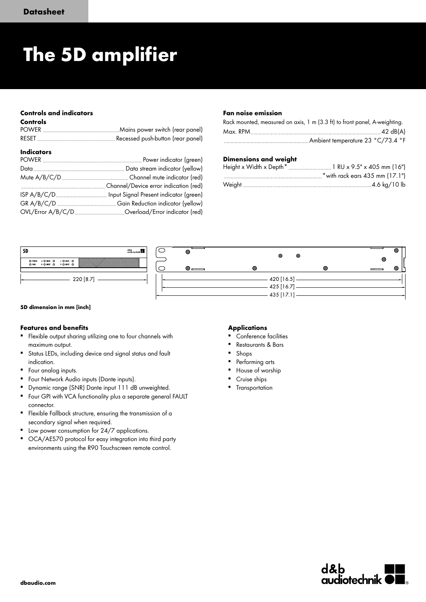#### **Controls and indicators**

| <b>Controls</b>   |  |  |
|-------------------|--|--|
|                   |  |  |
| <b>Indicators</b> |  |  |
|                   |  |  |
|                   |  |  |
|                   |  |  |
|                   |  |  |
|                   |  |  |
|                   |  |  |
|                   |  |  |

#### **Fan noise emission**

| Rack mounted, measured on axis, 1 m (3.3 ft) to front panel, A-weighting. |  |
|---------------------------------------------------------------------------|--|
|                                                                           |  |
|                                                                           |  |

#### **Dimensions and weight**

| Height x Width x Depth*  1 RU x 9.5" x 405 mm (16") |
|-----------------------------------------------------|
|                                                     |
|                                                     |



### **5D dimension in mm [inch]**

#### **Features and benefits**

- Flexible output sharing utilizing one to four channels with maximum output.
- Status LEDs, including device and signal status and fault indication.
- Four analog inputs.
- **•** Four Network Audio inputs (Dante inputs).
- Dynamic range (SNR) Dante input 111 dB unweighted.
- **•** Four GPI with VCA functionality plus a separate general FAULT connector.
- **•** Flexible Fallback structure, ensuring the transmission of a secondary signal when required.
- Low power consumption for 24/7 applications.
- OCA/AES70 protocol for easy integration into third party environments using the R90 Touchscreen remote control.

#### **Applications**

- Conference facilities
- Restaurants & Bars
- **Shops**
- Performing arts House of worship
- Cruise ships
- **Transportation**